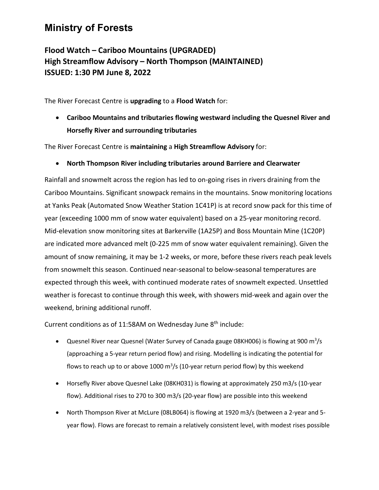## **Ministry of Forests**

## **Flood Watch – Cariboo Mountains (UPGRADED) High Streamflow Advisory – North Thompson (MAINTAINED) ISSUED: 1:30 PM June 8, 2022**

The River Forecast Centre is **upgrading** to a **Flood Watch** for:

• **Cariboo Mountains and tributaries flowing westward including the Quesnel River and Horsefly River and surrounding tributaries**

The River Forecast Centre is **maintaining** a **High Streamflow Advisory** for:

• **North Thompson River including tributaries around Barriere and Clearwater**

Rainfall and snowmelt across the region has led to on-going rises in rivers draining from the Cariboo Mountains. Significant snowpack remains in the mountains. Snow monitoring locations at Yanks Peak (Automated Snow Weather Station 1C41P) is at record snow pack for this time of year (exceeding 1000 mm of snow water equivalent) based on a 25-year monitoring record. Mid-elevation snow monitoring sites at Barkerville (1A25P) and Boss Mountain Mine (1C20P) are indicated more advanced melt (0-225 mm of snow water equivalent remaining). Given the amount of snow remaining, it may be 1-2 weeks, or more, before these rivers reach peak levels from snowmelt this season. Continued near-seasonal to below-seasonal temperatures are expected through this week, with continued moderate rates of snowmelt expected. Unsettled weather is forecast to continue through this week, with showers mid-week and again over the weekend, brining additional runoff.

Current conditions as of 11:58AM on Wednesday June  $8<sup>th</sup>$  include:

- Quesnel River near Quesnel (Water Survey of Canada gauge 08KH006) is flowing at 900 m<sup>3</sup>/s (approaching a 5-year return period flow) and rising. Modelling is indicating the potential for flows to reach up to or above 1000  $m^3/s$  (10-year return period flow) by this weekend
- Horsefly River above Quesnel Lake (08KH031) is flowing at approximately 250 m3/s (10-year flow). Additional rises to 270 to 300 m3/s (20-year flow) are possible into this weekend
- North Thompson River at McLure (08LB064) is flowing at 1920 m3/s (between a 2-year and 5 year flow). Flows are forecast to remain a relatively consistent level, with modest rises possible